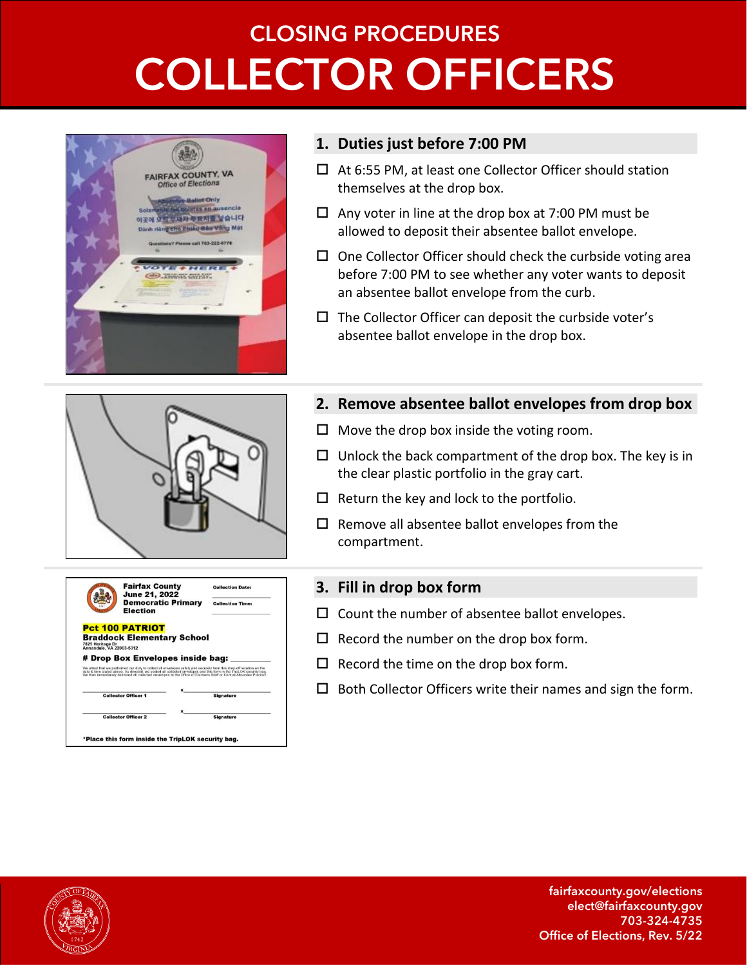# **CLOSING PROCEDURES COLLECTOR OFFICERS**



#### **1. Duties just before 7:00 PM**

- □ At 6:55 PM, at least one Collector Officer should station themselves at the drop box.
- $\Box$  Any voter in line at the drop box at 7:00 PM must be allowed to deposit their absentee ballot envelope.
- $\Box$  One Collector Officer should check the curbside voting area before 7:00 PM to see whether any voter wants to deposit an absentee ballot envelope from the curb.
- $\Box$  The Collector Officer can deposit the curbside voter's absentee ballot envelope in the drop box.



|                          | <b>Fairfax County</b><br><b>June 21, 2022</b>                                                                                                                                                                                                                                                                                                                       | <b>Collection Date:</b> |
|--------------------------|---------------------------------------------------------------------------------------------------------------------------------------------------------------------------------------------------------------------------------------------------------------------------------------------------------------------------------------------------------------------|-------------------------|
|                          | <b>Democratic Primary</b><br>Election                                                                                                                                                                                                                                                                                                                               | <b>Collection Time:</b> |
|                          | <b>Pct 100 PATRIOT</b>                                                                                                                                                                                                                                                                                                                                              |                         |
| 7825 Heritage Dr         | <b>Braddock Elementary School</b>                                                                                                                                                                                                                                                                                                                                   |                         |
|                          |                                                                                                                                                                                                                                                                                                                                                                     |                         |
|                          | # Drop Box Envelopes inside bag:                                                                                                                                                                                                                                                                                                                                    |                         |
|                          | We attest that we performed our duty to collect all envelopes safely and securely from this drop-off location on the<br>date & time stated above. As directed, we sealed all collected envelopes and this form in the TripLOK security bag.<br>We then immediately delivered all collected envelopes to the Office of Elections Staff or Central Absentee Precinct. |                         |
|                          |                                                                                                                                                                                                                                                                                                                                                                     |                         |
|                          | <b>Collector Officer 1</b>                                                                                                                                                                                                                                                                                                                                          | <b>Signature</b>        |
|                          |                                                                                                                                                                                                                                                                                                                                                                     |                         |
| Annandale, VA 22003-5312 |                                                                                                                                                                                                                                                                                                                                                                     |                         |

#### **2. Remove absentee ballot envelopes from drop box**

- $\Box$  Move the drop box inside the voting room.
- $\Box$  Unlock the back compartment of the drop box. The key is in the clear plastic portfolio in the gray cart.
- $\Box$  Return the key and lock to the portfolio.
- $\square$  Remove all absentee ballot envelopes from the compartment.

#### **3. Fill in drop box form**

- $\square$  Count the number of absentee ballot envelopes.
- $\Box$  Record the number on the drop box form.
- $\Box$  Record the time on the drop box form.
- $\square$  Both Collector Officers write their names and sign the form.